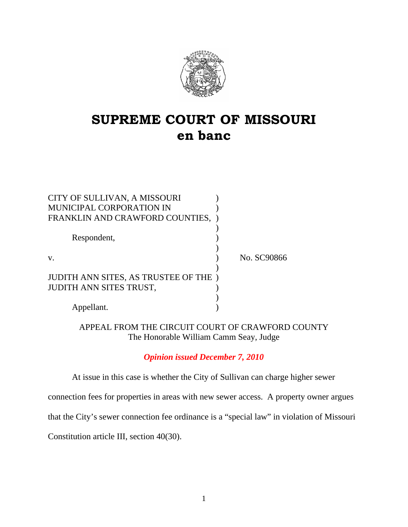

# **SUPREME COURT OF MISSOURI en banc**

| CITY OF SULLIVAN, A MISSOURI<br><b>MUNICIPAL CORPORATION IN</b>       |             |
|-----------------------------------------------------------------------|-------------|
| FRANKLIN AND CRAWFORD COUNTIES,                                       |             |
| Respondent,                                                           |             |
| $V_{\cdot}$                                                           | No. SC90866 |
| JUDITH ANN SITES, AS TRUSTEE OF THE<br><b>JUDITH ANN SITES TRUST,</b> |             |
| Appellant.                                                            |             |

## APPEAL FROM THE CIRCUIT COURT OF CRAWFORD COUNTY The Honorable William Camm Seay, Judge

# *Opinion issued December 7, 2010*

At issue in this case is whether the City of Sullivan can charge higher sewer

connection fees for properties in areas with new sewer access. A property owner argues

that the City's sewer connection fee ordinance is a "special law" in violation of Missouri

Constitution article III, section 40(30).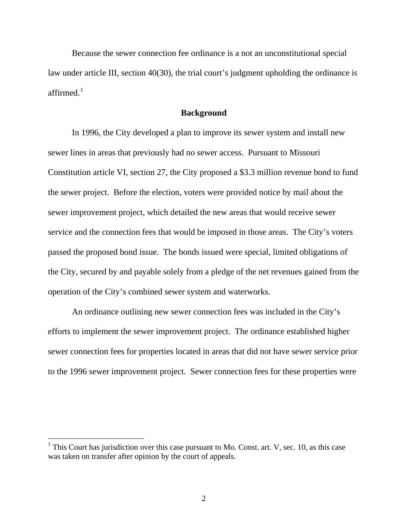Because the sewer connection fee ordinance is a not an unconstitutional special law under article III, section 40(30), the trial court's judgment upholding the ordinance is affirmed $<sup>1</sup>$  $<sup>1</sup>$  $<sup>1</sup>$ </sup>

## **Background**

In 1996, the City developed a plan to improve its sewer system and install new sewer lines in areas that previously had no sewer access. Pursuant to Missouri Constitution article VI, section 27, the City proposed a \$3.3 million revenue bond to fund the sewer project. Before the election, voters were provided notice by mail about the sewer improvement project, which detailed the new areas that would receive sewer service and the connection fees that would be imposed in those areas. The City's voters passed the proposed bond issue. The bonds issued were special, limited obligations of the City, secured by and payable solely from a pledge of the net revenues gained from the operation of the City's combined sewer system and waterworks.

An ordinance outlining new sewer connection fees was included in the City's efforts to implement the sewer improvement project. The ordinance established higher sewer connection fees for properties located in areas that did not have sewer service prior to the 1996 sewer improvement project. Sewer connection fees for these properties were

 $\overline{a}$ 

<span id="page-1-0"></span><sup>&</sup>lt;sup>1</sup> This Court has jurisdiction over this case pursuant to Mo. Const. art. V, sec. 10, as this case was taken on transfer after opinion by the court of appeals.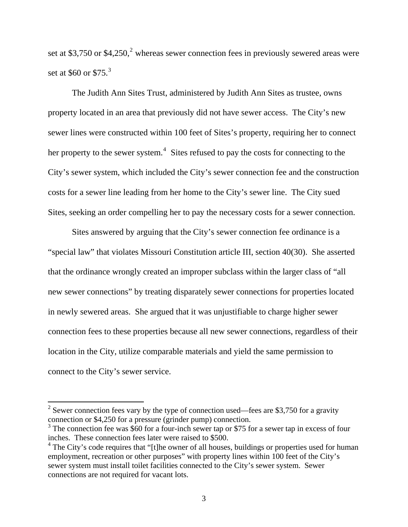set at \$3,750 or \$4,[2](#page-2-0)50,<sup>2</sup> whereas sewer connection fees in previously sewered areas were set at \$60 or  $$75.<sup>3</sup>$  $$75.<sup>3</sup>$  $$75.<sup>3</sup>$ 

 The Judith Ann Sites Trust, administered by Judith Ann Sites as trustee, owns property located in an area that previously did not have sewer access. The City's new sewer lines were constructed within 100 feet of Sites's property, requiring her to connect her property to the sewer system.<sup>[4](#page-2-2)</sup> Sites refused to pay the costs for connecting to the City's sewer system, which included the City's sewer connection fee and the construction costs for a sewer line leading from her home to the City's sewer line. The City sued Sites, seeking an order compelling her to pay the necessary costs for a sewer connection.

Sites answered by arguing that the City's sewer connection fee ordinance is a "special law" that violates Missouri Constitution article III, section 40(30). She asserted that the ordinance wrongly created an improper subclass within the larger class of "all new sewer connections" by treating disparately sewer connections for properties located in newly sewered areas. She argued that it was unjustifiable to charge higher sewer connection fees to these properties because all new sewer connections, regardless of their location in the City, utilize comparable materials and yield the same permission to connect to the City's sewer service.

 $\overline{a}$ 

<span id="page-2-0"></span><sup>&</sup>lt;sup>2</sup> Sewer connection fees vary by the type of connection used—fees are \$3,750 for a gravity connection or \$4,250 for a pressure (grinder pump) connection.

<span id="page-2-1"></span><sup>&</sup>lt;sup>3</sup> The connection fee was \$60 for a four-inch sewer tap or \$75 for a sewer tap in excess of four inches. These connection fees later were raised to \$500.

<span id="page-2-2"></span> $4$  The City's code requires that "[t]he owner of all houses, buildings or properties used for human employment, recreation or other purposes" with property lines within 100 feet of the City's sewer system must install toilet facilities connected to the City's sewer system. Sewer connections are not required for vacant lots.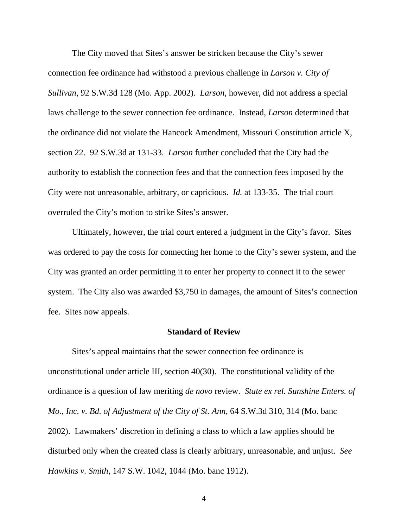The City moved that Sites's answer be stricken because the City's sewer connection fee ordinance had withstood a previous challenge in *Larson v. City of Sullivan*, 92 S.W.3d 128 (Mo. App. 2002). *Larson*, however, did not address a special laws challenge to the sewer connection fee ordinance. Instead, *Larson* determined that the ordinance did not violate the Hancock Amendment, Missouri Constitution article X, section 22. 92 S.W.3d at 131-33. *Larson* further concluded that the City had the authority to establish the connection fees and that the connection fees imposed by the City were not unreasonable, arbitrary, or capricious. *Id.* at 133-35. The trial court overruled the City's motion to strike Sites's answer.

Ultimately, however, the trial court entered a judgment in the City's favor. Sites was ordered to pay the costs for connecting her home to the City's sewer system, and the City was granted an order permitting it to enter her property to connect it to the sewer system. The City also was awarded \$3,750 in damages, the amount of Sites's connection fee. Sites now appeals.

#### **Standard of Review**

Sites's appeal maintains that the sewer connection fee ordinance is unconstitutional under article III, section 40(30). The constitutional validity of the ordinance is a question of law meriting *de novo* review. *State ex rel. Sunshine Enters. of Mo., Inc. v. Bd. of Adjustment of the City of St. Ann*, 64 S.W.3d 310, 314 (Mo. banc 2002). Lawmakers' discretion in defining a class to which a law applies should be disturbed only when the created class is clearly arbitrary, unreasonable, and unjust. *See Hawkins v. Smith*, 147 S.W. 1042, 1044 (Mo. banc 1912).

4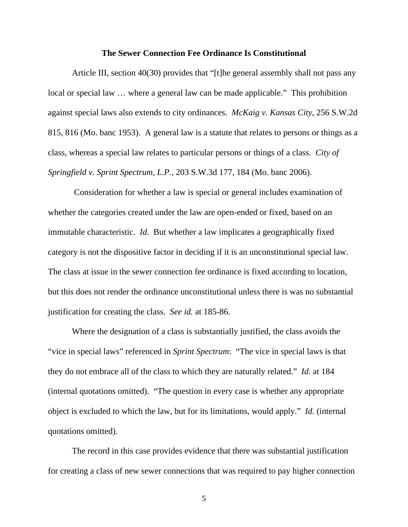### **The Sewer Connection Fee Ordinance Is Constitutional**

Article III, section 40(30) provides that "[t]he general assembly shall not pass any local or special law … where a general law can be made applicable." This prohibition against special laws also extends to city ordinances. *McKaig v. Kansas City*, 256 S.W.2d 815, 816 (Mo. banc 1953). A general law is a statute that relates to persons or things as a class, whereas a special law relates to particular persons or things of a class. *City of Springfield v. Sprint Spectrum, L.P.*, 203 S.W.3d 177, 184 (Mo. banc 2006).

 Consideration for whether a law is special or general includes examination of whether the categories created under the law are open-ended or fixed, based on an immutable characteristic. *Id.* But whether a law implicates a geographically fixed category is not the dispositive factor in deciding if it is an unconstitutional special law. The class at issue in the sewer connection fee ordinance is fixed according to location, but this does not render the ordinance unconstitutional unless there is was no substantial justification for creating the class. *See id.* at 185-86.

Where the designation of a class is substantially justified, the class avoids the "vice in special laws" referenced in *Sprint Spectrum*: "The vice in special laws is that they do not embrace all of the class to which they are naturally related." *Id.* at 184 (internal quotations omitted). "The question in every case is whether any appropriate object is excluded to which the law, but for its limitations, would apply." *Id.* (internal quotations omitted).

The record in this case provides evidence that there was substantial justification for creating a class of new sewer connections that was required to pay higher connection

5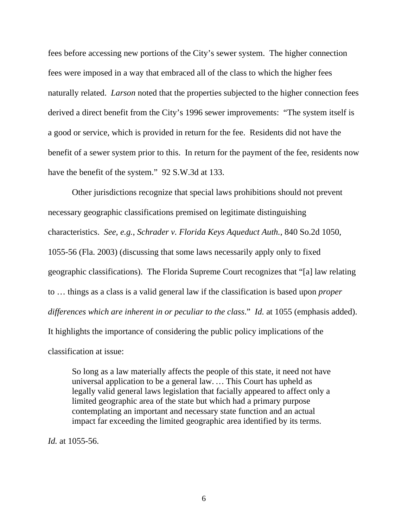fees before accessing new portions of the City's sewer system. The higher connection fees were imposed in a way that embraced all of the class to which the higher fees naturally related. *Larson* noted that the properties subjected to the higher connection fees derived a direct benefit from the City's 1996 sewer improvements: "The system itself is a good or service, which is provided in return for the fee. Residents did not have the benefit of a sewer system prior to this. In return for the payment of the fee, residents now have the benefit of the system." 92 S.W.3d at 133.

Other jurisdictions recognize that special laws prohibitions should not prevent necessary geographic classifications premised on legitimate distinguishing characteristics. *See, e.g.*, *Schrader v. Florida Keys Aqueduct Auth.*, 840 So.2d 1050, 1055-56 (Fla. 2003) (discussing that some laws necessarily apply only to fixed geographic classifications). The Florida Supreme Court recognizes that "[a] law relating to … things as a class is a valid general law if the classification is based upon *proper differences which are inherent in or peculiar to the class*." *Id.* at 1055 (emphasis added). It highlights the importance of considering the public policy implications of the classification at issue:

So long as a law materially affects the people of this state, it need not have universal application to be a general law. *…* This Court has upheld as legally valid general laws legislation that facially appeared to affect only a limited geographic area of the state but which had a primary purpose contemplating an important and necessary state function and an actual impact far exceeding the limited geographic area identified by its terms.

*Id.* at 1055-56.